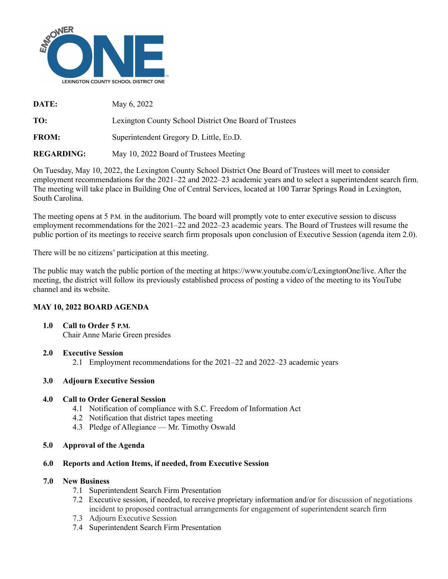

**DATE:** May 6, 2022 **TO:** Lexington County School District One Board of Trustees

**FROM:** Superintendent Gregory D. Little, Ep.D.

**REGARDING:** May 10, 2022 Board of Trustees Meeting

On Tuesday, May 10, 2022, the Lexington County School District One Board of Trustees will meet to consider employment recommendations for the 2021–22 and 2022–23 academic years and to select a superintendent search firm. The meeting will take place in Building One of Central Services, located at 100 Tarrar Springs Road in Lexington, South Carolina.

The meeting opens at 5 P.M. in the auditorium. The board will promptly vote to enter executive session to discuss employment recommendations for the 2021–22 and 2022–23 academic years. The Board of Trustees will resume the public portion of its meetings to receive search firm proposals upon conclusion of Executive Session (agenda item 2.0).

There will be no citizens' participation at this meeting.

The public may watch the public portion of the meeting at https://www.youtube.com/c/LexingtonOne/live. After the meeting, the district will follow its previously established process of posting a video of the meeting to its YouTube channel and its website.

# **MAY 10, 2022 BOARD AGENDA**

**1.0 Call to Order 5 P.M.** Chair Anne Marie Green [presides](https://www.youtube.com/watch?v=fqPUbLhfTUQ&t=0s)

### **2.0 Executive Session**

2.1 Employment [recommendations](https://www.youtube.com/watch?v=fqPUbLhfTUQ&t=155s) for the 2021–22 and 2022–23 academic years

# **3.0 Adjourn [Executive](https://www.youtube.com/watch?v=fqPUbLhfTUQ&t=1115s) Session**

### **4.0 Call to Order General Session**

- 4.1 [Notification](https://www.youtube.com/watch?v=fqPUbLhfTUQ&t=1136s) of compliance with S.C. Freedom of Information Act
- 4.2 Notification that district tapes meeting
- 4.3 Pledge of Allegiance Mr. Timothy Oswald

### **5.0 [Approval](https://www.youtube.com/watch?v=fqPUbLhfTUQ&t=1200s) of the Agenda**

### **6.0 Reports and Action Items, if needed, from [Executive](https://www.youtube.com/watch?v=fqPUbLhfTUQ&t=1222s) Session**

### **7.0 New Business**

- 7.1 [Superintendent](https://www.youtube.com/watch?v=fqPUbLhfTUQ&t=1315s) Search Firm Presentation
- 7.2 Executive session, if needed, to receive proprietary information and/or for discussion of negotiations incident to proposed contractual arrangements for engagement of superintendent search firm
- 7.3 Adjourn Executive Session
- 7.4 Superintendent Search Firm Presentation